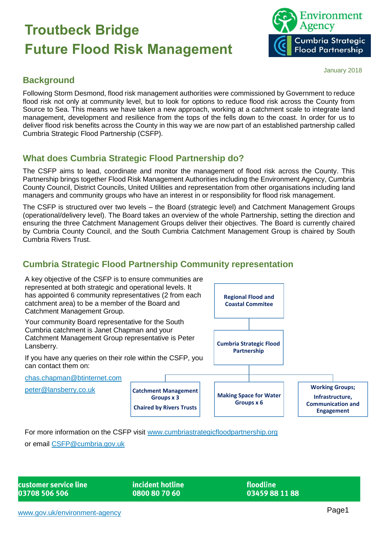

#### January 2018

## **Background**

Following Storm Desmond, flood risk management authorities were commissioned by Government to reduce flood risk not only at community level, but to look for options to reduce flood risk across the County from Source to Sea. This means we have taken a new approach, working at a catchment scale to integrate land management, development and resilience from the tops of the fells down to the coast. In order for us to deliver flood risk benefits across the County in this way we are now part of an established partnership called Cumbria Strategic Flood Partnership (CSFP).

# **What does Cumbria Strategic Flood Partnership do?**

The CSFP aims to lead, coordinate and monitor the management of flood risk across the County. This Partnership brings together Flood Risk Management Authorities including the Environment Agency, Cumbria County Council, District Councils, United Utilities and representation from other organisations including land managers and community groups who have an interest in or responsibility for flood risk management.

The CSFP is structured over two levels – the Board (strategic level) and Catchment Management Groups (operational/delivery level). The Board takes an overview of the whole Partnership, setting the direction and ensuring the three Catchment Management Groups deliver their objectives. The Board is currently chaired by Cumbria County Council, and the South Cumbria Catchment Management Group is chaired by South Cumbria Rivers Trust.

# **Cumbria Strategic Flood Partnership Community representation**



For more information on the CSFP visit [www.cumbriastrategicfloodpartnership.org](http://www.cumbriastrategicfloodpartnership.org/)

or email [CSFP@cumbria.gov.uk](mailto:CSFP@cumbria.gov.uk)

customer service line 03708 506 506

incident hotline 0800 80 70 60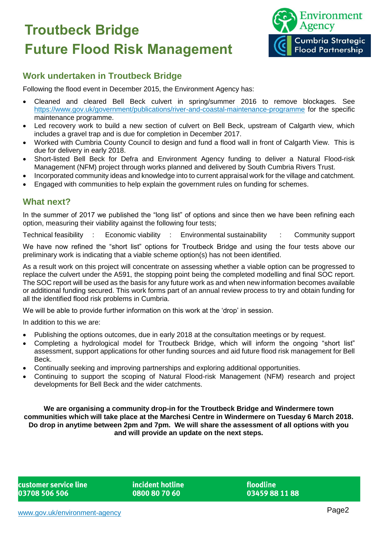

## **Work undertaken in Troutbeck Bridge**

Following the flood event in December 2015, the Environment Agency has:

- Cleaned and cleared Bell Beck culvert in spring/summer 2016 to remove blockages. See <https://www.gov.uk/government/publications/river-and-coastal-maintenance-programme> for the specific maintenance programme.
- Led recovery work to build a new section of culvert on Bell Beck, upstream of Calgarth view, which includes a gravel trap and is due for completion in December 2017.
- Worked with Cumbria County Council to design and fund a flood wall in front of Calgarth View. This is due for delivery in early 2018.
- Short-listed Bell Beck for Defra and Environment Agency funding to deliver a Natural Flood-risk Management (NFM) project through works planned and delivered by South Cumbria Rivers Trust.
- Incorporated community ideas and knowledge into to current appraisal work for the village and catchment. Engaged with communities to help explain the government rules on funding for schemes.

#### **What next?**

In the summer of 2017 we published the "long list" of options and since then we have been refining each option, measuring their viability against the following four tests;

Technical feasibility : Economic viability : Environmental sustainability : Community support

We have now refined the "short list" options for Troutbeck Bridge and using the four tests above our preliminary work is indicating that a viable scheme option(s) has not been identified.

As a result work on this project will concentrate on assessing whether a viable option can be progressed to replace the culvert under the A591, the stopping point being the completed modelling and final SOC report. The SOC report will be used as the basis for any future work as and when new information becomes available or additional funding secured. This work forms part of an annual review process to try and obtain funding for all the identified flood risk problems in Cumbria.

We will be able to provide further information on this work at the 'drop' in session.

In addition to this we are:

- Publishing the options outcomes, due in early 2018 at the consultation meetings or by request.
- Completing a hydrological model for Troutbeck Bridge, which will inform the ongoing "short list" assessment, support applications for other funding sources and aid future flood risk management for Bell Beck.
- Continually seeking and improving partnerships and exploring additional opportunities.
- Continuing to support the scoping of Natural Flood-risk Management (NFM) research and project developments for Bell Beck and the wider catchments.

**We are organising a community drop-in for the Troutbeck Bridge and Windermere town communities which will take place at the Marchesi Centre in Windermere on Tuesday 6 March 2018. Do drop in anytime between 2pm and 7pm. We will share the assessment of all options with you and will provide an update on the next steps.**

customer service line 03708 506 506

incident hotline 0800 80 70 60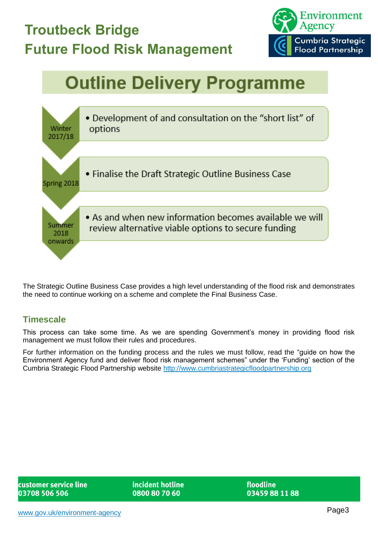

# **Outline Delivery Programme**



The Strategic Outline Business Case provides a high level understanding of the flood risk and demonstrates the need to continue working on a scheme and complete the Final Business Case.

#### **Timescale**

This process can take some time. As we are spending Government's money in providing flood risk management we must follow their rules and procedures.

For further information on the funding process and the rules we must follow, read the "guide on how the Environment Agency fund and deliver flood risk management schemes" under the 'Funding' section of the Cumbria Strategic Flood Partnership website [http://www.cumbriastrategicfloodpartnership.org](http://www.cumbriastrategicfloodpartnership.org/)

customer service line 03708 506 506

incident hotline 0800 80 70 60